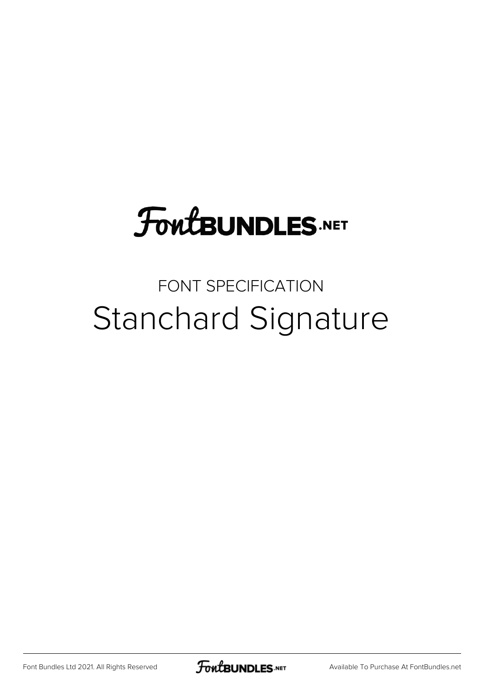## **FoutBUNDLES.NET**

## FONT SPECIFICATION Stanchard Signature

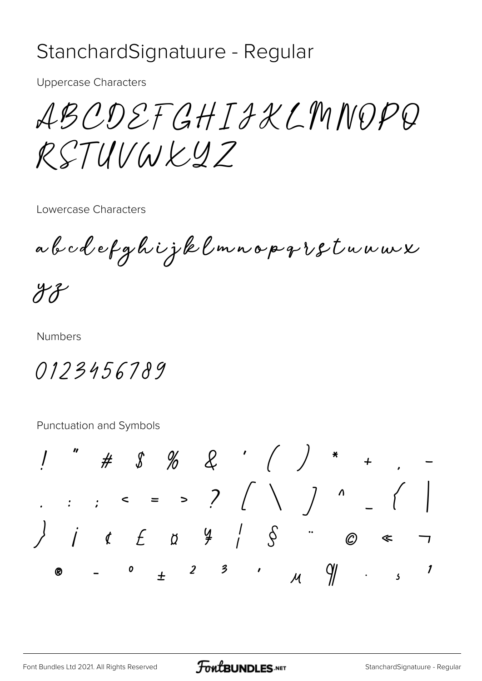## StanchardSignatuure - Regular

**Uppercase Characters** 

ABCDEFGHTAXIMNOPQ RSTUVWKYZ

Lowercase Characters

abodefghijklmnopqrstuuwx

 $47$ 

**Numbers** 

0123456789

Punctuation and Symbols

. . . .  $\leftarrow$  = > ?  $($  \  $)$  ^  $($  \  $)$  $\overline{\phantom{a}}$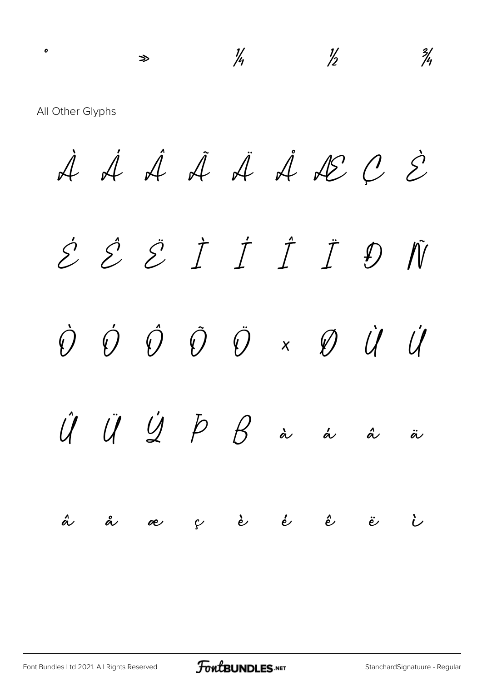All Other Glyphs

À Á Â Ã Ä Å Æ Ç È É Ê Ë Ì Í Î Ï Ð Ñ Ò Ó Ô Õ Ö × Ø Ù Ú  $\hat{U}$   $\ddot{U}$   $\dot{Y}$   $\beta$   $\beta$  à á á ä ä å æ ç è é ê ë ì

 $\frac{1}{4}$   $\frac{1}{2}$   $\frac{3}{4}$ 

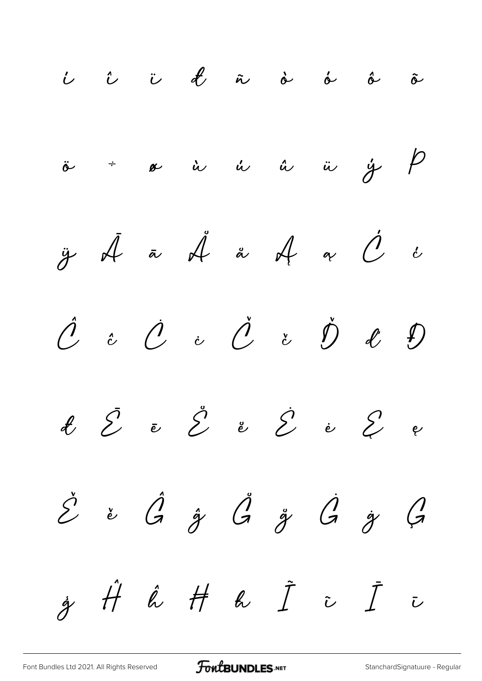í î ï ð ñ ò ó ô õ ö ÷ ø ù ú û ü ý þ  $\ddot{y}$   $\vec{A}$   $\ddot{a}$   $\vec{A}$   $\alpha$   $\dot{C}$   $\dot{c}$  $\begin{array}{cccccccccc} \hat{\mathcal{C}} & \hat{c} & \hat{\mathcal{C}} & \hat{c} & \hat{\mathcal{C}} & \hat{c} & \hat{\mathcal{C}} & \hat{\mathcal{C}} & \hat{\mathcal{C}} & \hat{\mathcal{D}} & \hat{\mathcal{C}} & \hat{\mathcal{D}} \end{array}$  $\not\ell$   $\vec{\mathcal{E}}$   $\vec{e}$   $\vec{\mathcal{E}}$   $\vec{e}$   $\vec{\mathcal{E}}$   $\vec{e}$   $\vec{\mathcal{E}}$   $\vec{e}$  $\check{\mathcal{E}}$  ě  $\hat{G}$   $\mathring{g}$   $\mathring{G}$   $\mathring{g}$   $\mathring{G}$   $\mathring{g}$   $\mathring{G}$  $\dot{g}$   $\dot{H}$   $\acute{\kappa}$   $\ddot{I}$   $\ddot{\iota}$   $\ddot{I}$   $\ddot{\iota}$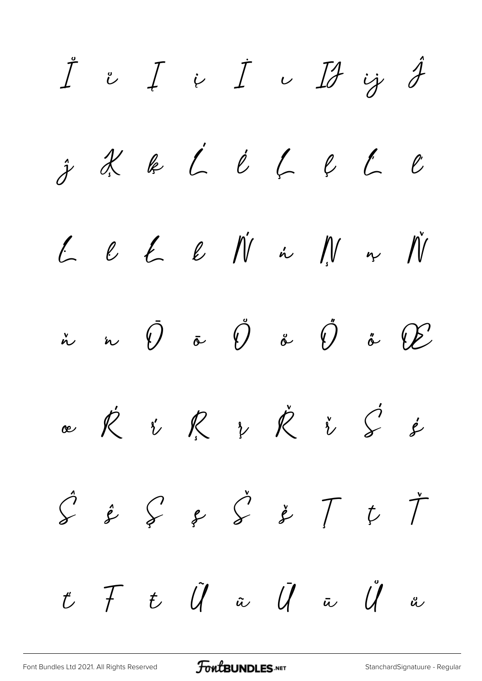$\begin{array}{ccccc} & \mathring{I} & \mathring{\iota} & I & \mathring{\iota} & I & \mathring{\iota} & \mathring{I} & \mathring{\jmath} & \mathring{J} \end{array}$  $\hat{j}$  X k L l L l L<br>  $\ell$  $L$   $L$   $L$   $L$   $\acute{\nu}$  in  $\gamma$  in  $\gamma$  $\dot{\tilde{a}}$  in  $\tilde{U}$  is  $\tilde{U}$  is  $\tilde{U}$  is  $\tilde{U}$  is  $\mathscr{C}$ ce R r R r R r S s'  $\hat{S} \triangleq S \Leftrightarrow \hat{S} \Leftrightarrow \tilde{T}$  $\check{\mathcal{T}}$  $\overline{\psi}$  $t$   $\mathcal{F}$   $t$   $\mathcal{\tilde{U}}$   $\tilde{u}$   $\mathcal{\tilde{U}}$   $\tilde{u}$   $\mathcal{\tilde{U}}$   $\tilde{u}$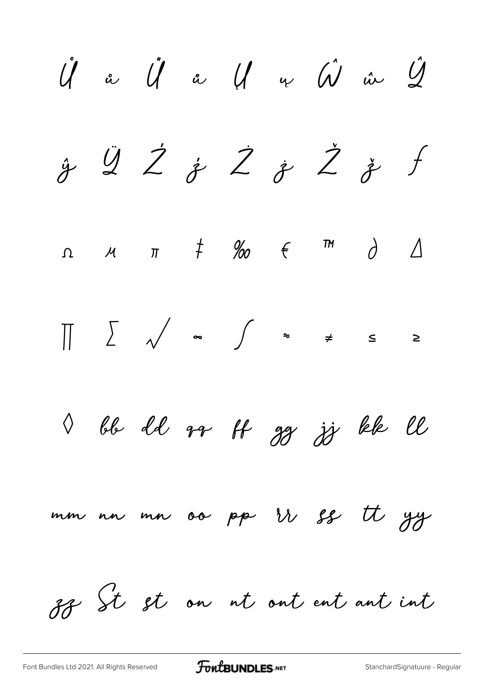$\mathring{\mathcal{U}}$  a  $\mathring{\mathcal{U}}$  a  $\mathring{\mathcal{U}}$  a  $\mathring{\mathcal{U}}$  a  $\mathring{\mathcal{U}}$  $\dot{\mathcal{Y}}$   $\ddot{\mathcal{Q}}$   $\dot{\mathcal{Z}}$   $\dot{\mathcal{Z}}$   $\dot{\mathcal{Z}}$   $\ddot{\mathcal{Z}}$   $\ddot{\mathcal{Z}}$  $\int$  $\Omega$   $M$   $\pi$   $\neq$   $\%$   $\theta$   $\in$   $\pi$   $\partial$   $\Delta$  $\prod$ I bb dd rr ff gg jj kk ll mm nn mn oo pp ir ss tt yy 88 St st on ut out ent ant int